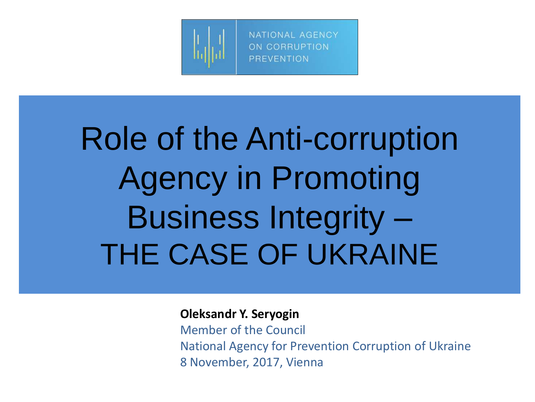

# Role of the Anti-corruption Agency in Promoting Business Integrity – THE CASE OF UKRAINE

**Oleksandr Y. Seryogin**

Member of the Council National Agency for Prevention Corruption of Ukraine 8 November, 2017, Vienna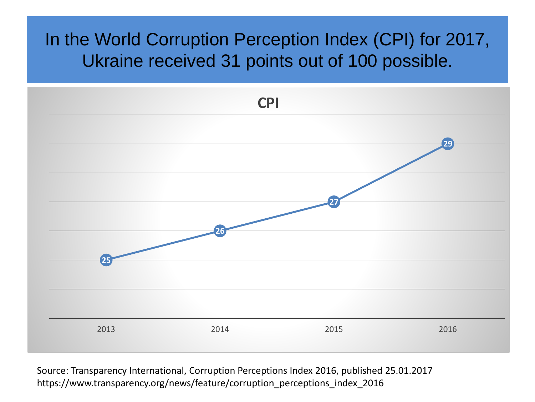### In the World Corruption Perception Index (CPI) for 2017, Ukraine received 31 points out of 100 possible.



Source: Transparency International, Corruption Perceptions Index 2016, published 25.01.2017 https://www.transparency.org/news/feature/corruption\_perceptions\_index\_2016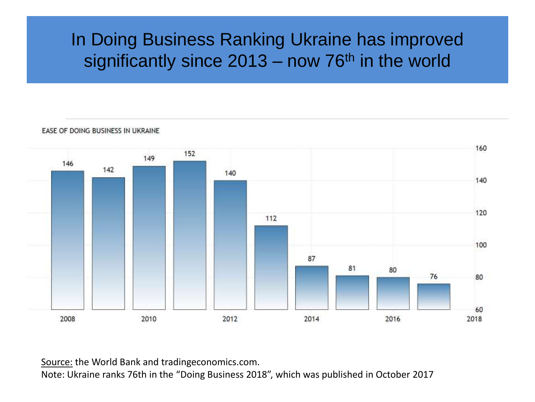### In Doing Business Ranking Ukraine has improved significantly since  $2013 -$  now 76<sup>th</sup> in the world

Ukraine

EASE OF DOING BUSINESS IN UKRAINE

Source: the World Bank and tradingeconomics.com.

Note: Ukraine ranks 76th in the "Doing Business 2018", which was published in October 2017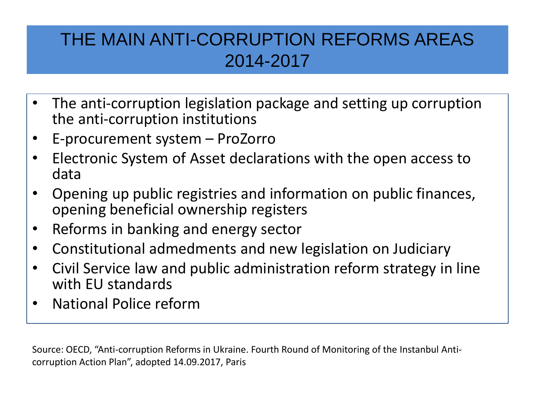### THE MAIN ANTI-CORRUPTION REFORMS AREAS 2014-2017

- The anti-corruption legislation package and setting up corruption the anti-corruption institutions
- E-procurement system ProZorro
- Electronic System of Asset declarations with the open access to data
- Opening up public registries and information on public finances, opening beneficial ownership registers
- Reforms in banking and energy sector
- Constitutional admedments and new legislation on Judiciary
- Civil Service law and public administration reform strategy in line with EU standards
- National Police reform

Source: OECD, "Anti-corruption Reforms in Ukraine. Fourth Round of Monitoring of the Instanbul Anticorruption Action Plan", adopted 14.09.2017, Paris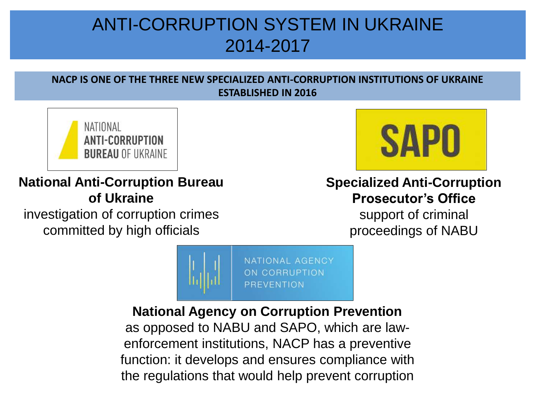### ANTI-CORRUPTION SYSTEM IN UKRAINE 2014-2017

#### **NACP IS ONE OF THE THREE NEW SPECIALIZED ANTI-CORRUPTION INSTITUTIONS OF UKRAINE ESTABLISHED IN 2016**



**National Anti-Corruption Bureau of Ukraine**

investigation of corruption crimes committed by high officials



#### **Specialized Anti-Corruption Prosecutor's Office**

support of criminal proceedings of NABU



#### **National Agency on Corruption Prevention**

as opposed to NABU and SAPO, which are lawenforcement institutions, NACP has a preventive function: it develops and ensures compliance with the regulations that would help prevent corruption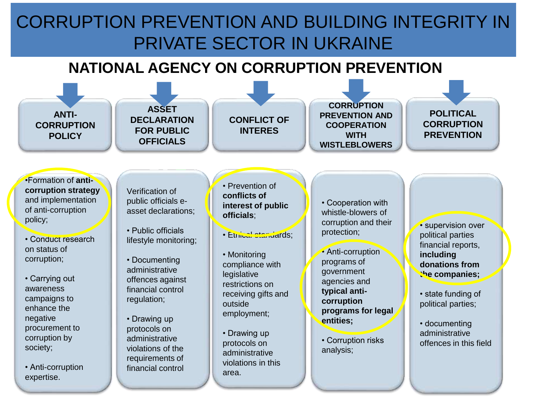### CORRUPTION PREVENTION AND BUILDING INTEGRITY IN PRIVATE SECTOR IN UKRAINE

#### **NATIONAL AGENCY ON CORRUPTION PREVENTION**

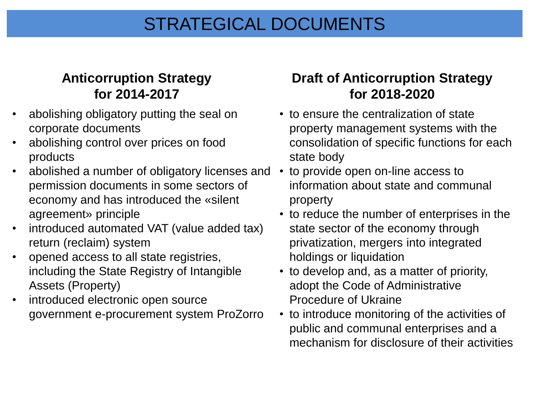### STRATEGICAL DOCUMENTS

#### **Anticorruption Strategy for 2014-2017**

- abolishing obligatory putting the seal on corporate documents
- abolishing control over prices on food products
- abolished a number of obligatory licenses and permission documents in some sectors of economy and has introduced the «silent agreement» principle
- introduced automated VAT (value added tax) return (reclaim) system
- opened access to all state registries, including the State Registry of Intangible Assets (Property)
- introduced electronic open source government e-procurement system ProZorro

#### **Draft of Anticorruption Strategy for 2018-2020**

- to ensure the centralization of state property management systems with the consolidation of specific functions for each state body
- to provide open on-line access to information about state and communal property
- to reduce the number of enterprises in the state sector of the economy through privatization, mergers into integrated holdings or liquidation
- to develop and, as a matter of priority, adopt the Code of Administrative Procedure of Ukraine
- to introduce monitoring of the activities of public and communal enterprises and a mechanism for disclosure of their activities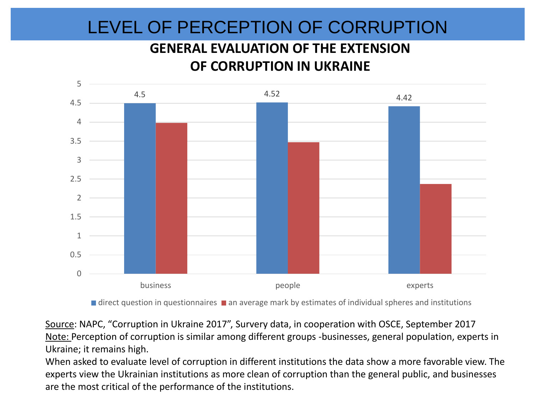### LEVEL OF PERCEPTION OF CORRUPTION

#### **GENERAL EVALUATION OF THE EXTENSION OF CORRUPTION IN UKRAINE**



 $\blacksquare$  direct question in questionnaires  $\blacksquare$  an average mark by estimates of individual spheres and institutions

Source: NAPC, "Corruption in Ukraine 2017", Survery data, in cooperation with OSCE, September 2017 Note: Perception of corruption is similar among different groups -businesses, general population, experts in Ukraine; it remains high.

When asked to evaluate level of corruption in different institutions the data show a more favorable view. The experts view the Ukrainian institutions as more clean of corruption than the general public, and businesses are the most critical of the performance of the institutions.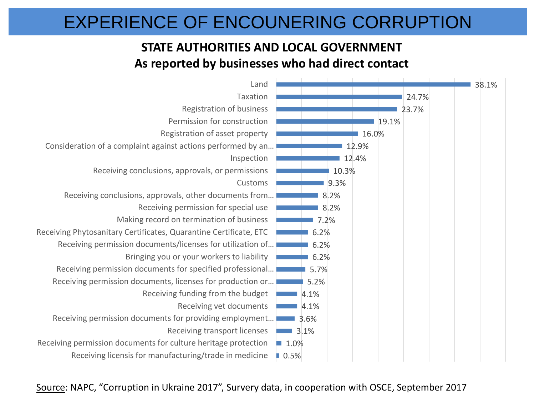### EXPERIENCE OF ENCOUNERING CORRUPTION

#### **STATE AUTHORITIES AND LOCAL GOVERNMENT As reported by businesses who had direct contact**



Source: NAPC, "Corruption in Ukraine 2017", Survery data, in cooperation with OSCE, September 2017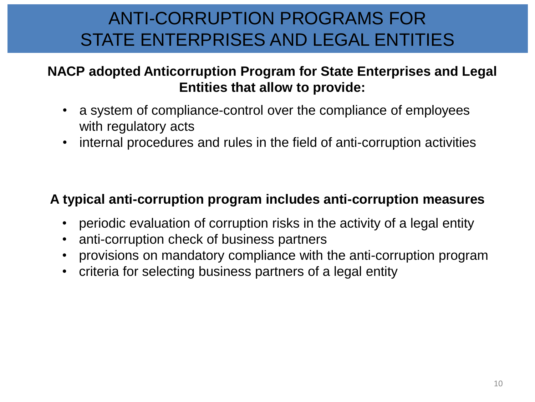### ANTI-CORRUPTION PROGRAMS FOR STATE ENTERPRISES AND LEGAL ENTITIES

#### **NACP adopted Anticorruption Program for State Enterprises and Legal Entities that allow to provide:**

- a system of compliance-control over the compliance of employees with regulatory acts
- internal procedures and rules in the field of anti-corruption activities

#### **A typical anti-corruption program includes anti-corruption measures**

- periodic evaluation of corruption risks in the activity of a legal entity
- anti-corruption check of business partners
- provisions on mandatory compliance with the anti-corruption program
- criteria for selecting business partners of a legal entity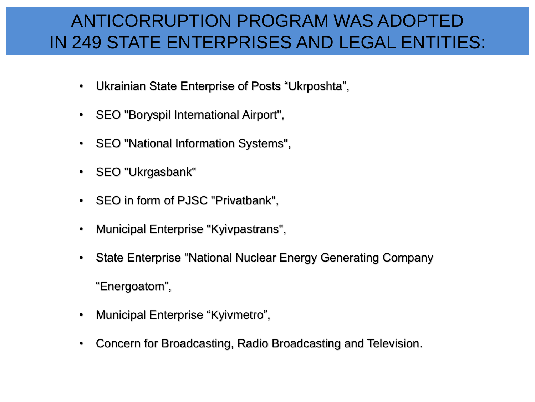### ANTICORRUPTION PROGRAM WAS ADOPTED IN 249 STATE ENTERPRISES AND LEGAL ENTITIES:

- Ukrainian State Enterprise of Posts "Ukrposhta",
- SEO "Boryspil International Airport",
- SEO "National Information Systems",
- SEO "Ukrgasbank"
- SEO in form of PJSC "Privatbank",
- Municipal Enterprise "Kyivpastrans",
- State Enterprise "National Nuclear Energy Generating Company

"Energoatom",

- Municipal Enterprise "Kyivmetro",
- Concern for Broadcasting, Radio Broadcasting and Television.